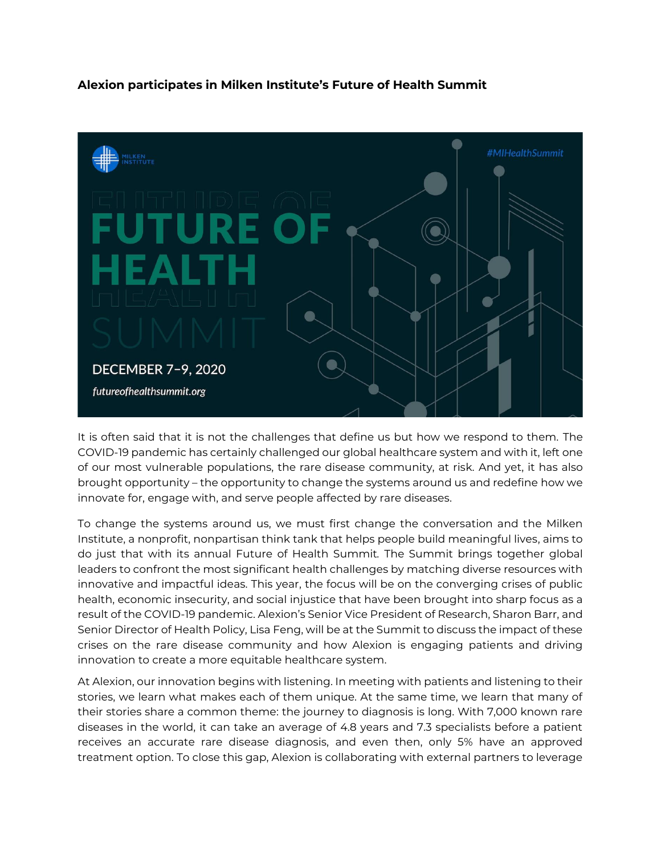## **Alexion participates in Milken Institute's Future of Health Summit**



It is often said that it is not the challenges that define us but how we respond to them. The COVID-19 pandemic has certainly challenged our global healthcare system and with it, left one of our most vulnerable populations, the rare disease community, at risk. And yet, it has also brought opportunity – the opportunity to change the systems around us and redefine how we innovate for, engage with, and serve people affected by rare diseases.

To change the systems around us, we must first change the conversation and the Milken Institute, a nonprofit, nonpartisan think tank that helps people build meaningful lives, aims to do just that with its annual Future of Health Summit*.* The Summit brings together global leaders to confront the most significant health challenges by matching diverse resources with innovative and impactful ideas. This year, the focus will be on the converging crises of public health, economic insecurity, and social injustice that have been brought into sharp focus as a result of the COVID-19 pandemic. Alexion's Senior Vice President of Research, Sharon Barr, and Senior Director of Health Policy, Lisa Feng, will be at the Summit to discuss the impact of these crises on the rare disease community and how Alexion is engaging patients and driving innovation to create a more equitable healthcare system.

At Alexion, our innovation begins with listening. In meeting with patients and listening to their stories, we learn what makes each of them unique. At the same time, we learn that many of their stories share a common theme: the journey to diagnosis is long. With 7,000 known rare diseases in the world, it can take an average of 4.8 years and 7.3 specialists before a patient receives an accurate rare disease diagnosis, and even then, only 5% have an approved treatment option. To close this gap, Alexion is collaborating with external partners to leverage